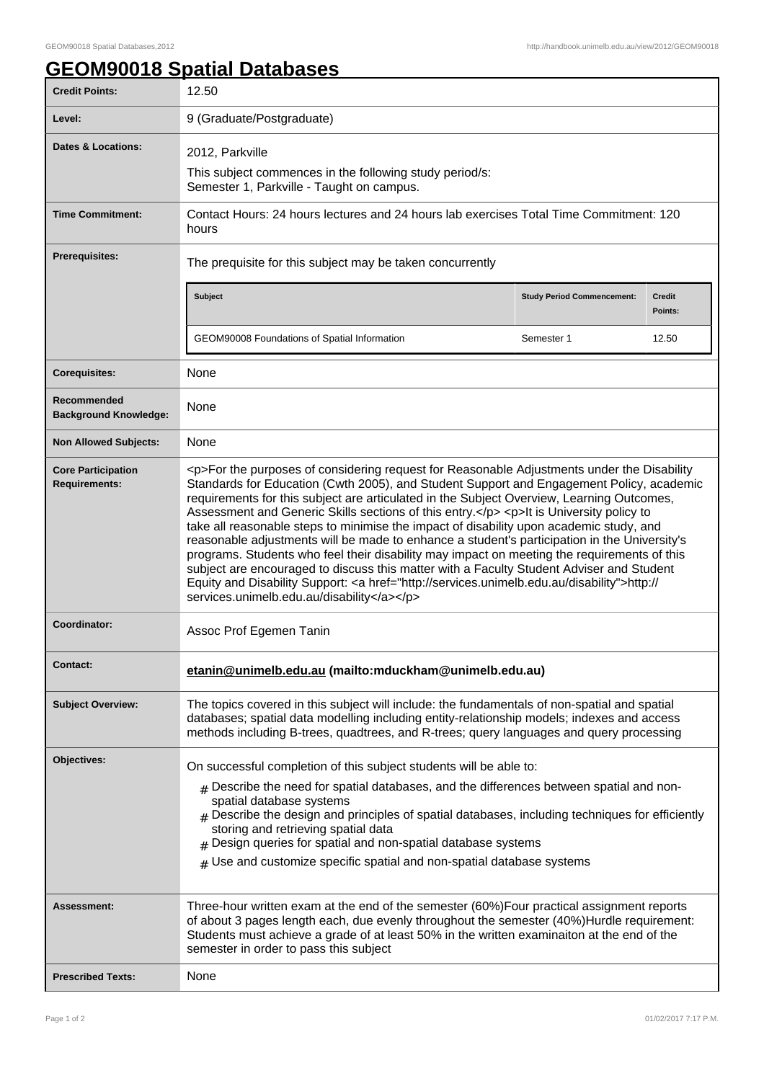## **GEOM90018 Spatial Databases**

| <b>Credit Points:</b>                             | 12.50                                                                                                                                                                                                                                                                                                                                                                                                                                                                                                                                                                                                                                                                                                                                                                                                                                                                                                                        |                                   |                          |
|---------------------------------------------------|------------------------------------------------------------------------------------------------------------------------------------------------------------------------------------------------------------------------------------------------------------------------------------------------------------------------------------------------------------------------------------------------------------------------------------------------------------------------------------------------------------------------------------------------------------------------------------------------------------------------------------------------------------------------------------------------------------------------------------------------------------------------------------------------------------------------------------------------------------------------------------------------------------------------------|-----------------------------------|--------------------------|
| Level:                                            | 9 (Graduate/Postgraduate)                                                                                                                                                                                                                                                                                                                                                                                                                                                                                                                                                                                                                                                                                                                                                                                                                                                                                                    |                                   |                          |
| <b>Dates &amp; Locations:</b>                     | 2012, Parkville<br>This subject commences in the following study period/s:<br>Semester 1, Parkville - Taught on campus.                                                                                                                                                                                                                                                                                                                                                                                                                                                                                                                                                                                                                                                                                                                                                                                                      |                                   |                          |
| <b>Time Commitment:</b>                           | Contact Hours: 24 hours lectures and 24 hours lab exercises Total Time Commitment: 120<br>hours                                                                                                                                                                                                                                                                                                                                                                                                                                                                                                                                                                                                                                                                                                                                                                                                                              |                                   |                          |
| <b>Prerequisites:</b>                             | The prequisite for this subject may be taken concurrently                                                                                                                                                                                                                                                                                                                                                                                                                                                                                                                                                                                                                                                                                                                                                                                                                                                                    |                                   |                          |
|                                                   | <b>Subject</b>                                                                                                                                                                                                                                                                                                                                                                                                                                                                                                                                                                                                                                                                                                                                                                                                                                                                                                               | <b>Study Period Commencement:</b> | <b>Credit</b><br>Points: |
|                                                   | GEOM90008 Foundations of Spatial Information                                                                                                                                                                                                                                                                                                                                                                                                                                                                                                                                                                                                                                                                                                                                                                                                                                                                                 | Semester 1                        | 12.50                    |
| <b>Corequisites:</b>                              | None                                                                                                                                                                                                                                                                                                                                                                                                                                                                                                                                                                                                                                                                                                                                                                                                                                                                                                                         |                                   |                          |
| Recommended<br><b>Background Knowledge:</b>       | None                                                                                                                                                                                                                                                                                                                                                                                                                                                                                                                                                                                                                                                                                                                                                                                                                                                                                                                         |                                   |                          |
| <b>Non Allowed Subjects:</b>                      | None                                                                                                                                                                                                                                                                                                                                                                                                                                                                                                                                                                                                                                                                                                                                                                                                                                                                                                                         |                                   |                          |
| <b>Core Participation</b><br><b>Requirements:</b> | <p>For the purposes of considering request for Reasonable Adjustments under the Disability<br/>Standards for Education (Cwth 2005), and Student Support and Engagement Policy, academic<br/>requirements for this subject are articulated in the Subject Overview, Learning Outcomes,<br/>Assessment and Generic Skills sections of this entry.</p> <p>lt is University policy to<br/>take all reasonable steps to minimise the impact of disability upon academic study, and<br/>reasonable adjustments will be made to enhance a student's participation in the University's<br/>programs. Students who feel their disability may impact on meeting the requirements of this<br/>subject are encouraged to discuss this matter with a Faculty Student Adviser and Student<br/>Equity and Disability Support: &lt; a href="http://services.unimelb.edu.au/disability"&gt;http://<br/>services.unimelb.edu.au/disability</p> |                                   |                          |
| Coordinator:                                      | Assoc Prof Egemen Tanin                                                                                                                                                                                                                                                                                                                                                                                                                                                                                                                                                                                                                                                                                                                                                                                                                                                                                                      |                                   |                          |
| Contact:                                          | etanin@unimelb.edu.au (mailto:mduckham@unimelb.edu.au)                                                                                                                                                                                                                                                                                                                                                                                                                                                                                                                                                                                                                                                                                                                                                                                                                                                                       |                                   |                          |
| <b>Subject Overview:</b>                          | The topics covered in this subject will include: the fundamentals of non-spatial and spatial<br>databases; spatial data modelling including entity-relationship models; indexes and access<br>methods including B-trees, quadtrees, and R-trees; query languages and query processing                                                                                                                                                                                                                                                                                                                                                                                                                                                                                                                                                                                                                                        |                                   |                          |
| Objectives:                                       | On successful completion of this subject students will be able to:                                                                                                                                                                                                                                                                                                                                                                                                                                                                                                                                                                                                                                                                                                                                                                                                                                                           |                                   |                          |
|                                                   | $_{\rm \#}$ Describe the need for spatial databases, and the differences between spatial and non-<br>spatial database systems<br>$#$ Describe the design and principles of spatial databases, including techniques for efficiently<br>storing and retrieving spatial data<br>$#$ Design queries for spatial and non-spatial database systems<br>$#$ Use and customize specific spatial and non-spatial database systems                                                                                                                                                                                                                                                                                                                                                                                                                                                                                                      |                                   |                          |
| <b>Assessment:</b>                                | Three-hour written exam at the end of the semester (60%)Four practical assignment reports<br>of about 3 pages length each, due evenly throughout the semester (40%)Hurdle requirement:<br>Students must achieve a grade of at least 50% in the written examinaiton at the end of the<br>semester in order to pass this subject                                                                                                                                                                                                                                                                                                                                                                                                                                                                                                                                                                                               |                                   |                          |
| <b>Prescribed Texts:</b>                          | None                                                                                                                                                                                                                                                                                                                                                                                                                                                                                                                                                                                                                                                                                                                                                                                                                                                                                                                         |                                   |                          |